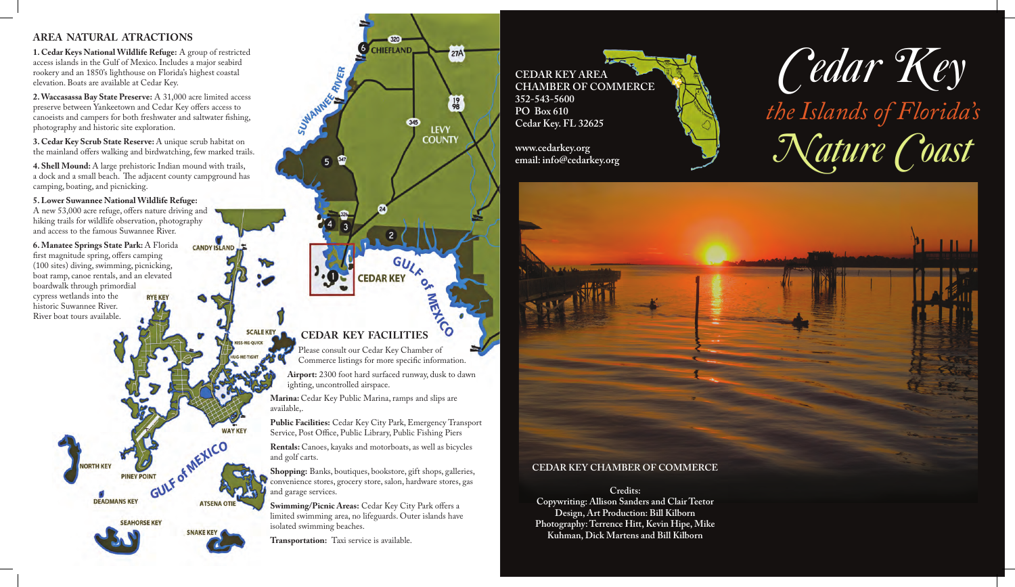*Cedar Key*

*Nature Coast*

# *the Islands of Florida's*

**CEDAR KEY AREA CHAMBER OF COMMERCE 352-543-5600 PO Box 610 Cedar Key. FL 32625**

**www.cedarkey.org email: info@cedarkey.org**

## **AREA NATURAL ATRACTIONS**

**1. Cedar Keys National Wildlife Refuge:** A group of restricted access islands in the Gulf of Mexico. Includes a major seabird rookery and an 1850's lighthouse on Florida's highest coastal elevation. Boats are available at Cedar Key.

**2. Waccasassa Bay State Preserve:** A 31,000 acre limited access preserve between Yankeetown and Cedar Key offers access to canoeists and campers for both freshwater and saltwater fishing, photography and historic site exploration.

**3. Cedar Key Scrub State Reserve:** A unique scrub habitat on the mainland offers walking and birdwatching, few marked trails.

> **Airport:** 2300 foot hard surfaced runway, dusk to dawn ighting, uncontrolled airspace.

**4. Shell Mound:** A large prehistoric Indian mound with trails, a dock and a small beach. The adjacent county campground has camping, boating, and picnicking.

**CANDY ISLAND** 

**5. Lower Suwannee National Wildlife Refuge:**

A new 53,000 acre refuge, offers nature driving and hiking trails for wildlife observation, photography and access to the famous Suwannee River.

**6. Manatee Springs State Park:** A Florida first magnitude spring, offers camping (100 sites) diving, swimming, picnicking, boat ramp, canoe rentals, and an elevated boardwalk through primordial cypress wetlands into the **RYE KEY** historic Suwannee River. River boat tours available.





 Please consult our Cedar Key Chamber of Commerce listings for more specific information.

**Marina:** Cedar Key Public Marina, ramps and slips are available,.

**Public Facilities:** Cedar Key City Park, Emergency Transport Service, Post Office, Public Library, Public Fishing Piers

**Rentals:** Canoes, kayaks and motorboats, as well as bicycles and golf carts.

**Shopping:** Banks, boutiques, bookstore, gift shops, galleries, convenience stores, grocery store, salon, hardware stores, gas and garage services.

**Swimming/Picnic Areas:** Cedar Key City Park offers a limited swimming area, no lifeguards. Outer islands have isolated swimming beaches.

**Transportation:** Taxi service is available.



**Copywriting: Allison Sanders and Clair Teetor Design, Art Production: Bill Kilborn Photography: Terrence Hitt, Kevin Hipe, Mike Kuhman, Dick Martens and Bill Kilborn**